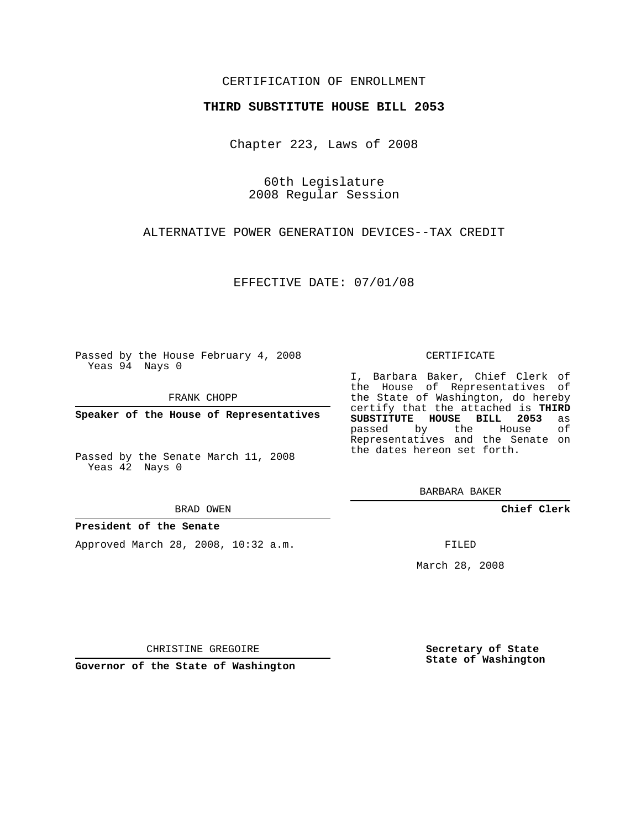## CERTIFICATION OF ENROLLMENT

### **THIRD SUBSTITUTE HOUSE BILL 2053**

Chapter 223, Laws of 2008

60th Legislature 2008 Regular Session

ALTERNATIVE POWER GENERATION DEVICES--TAX CREDIT

EFFECTIVE DATE: 07/01/08

Passed by the House February 4, 2008 Yeas 94 Nays 0

FRANK CHOPP

**Speaker of the House of Representatives**

Passed by the Senate March 11, 2008 Yeas 42 Nays 0

#### BRAD OWEN

### **President of the Senate**

Approved March 28, 2008, 10:32 a.m.

#### CERTIFICATE

I, Barbara Baker, Chief Clerk of the House of Representatives of the State of Washington, do hereby certify that the attached is **THIRD SUBSTITUTE HOUSE BILL 2053** as passed by the House of Representatives and the Senate on the dates hereon set forth.

BARBARA BAKER

**Chief Clerk**

FILED

March 28, 2008

**Secretary of State State of Washington**

CHRISTINE GREGOIRE

**Governor of the State of Washington**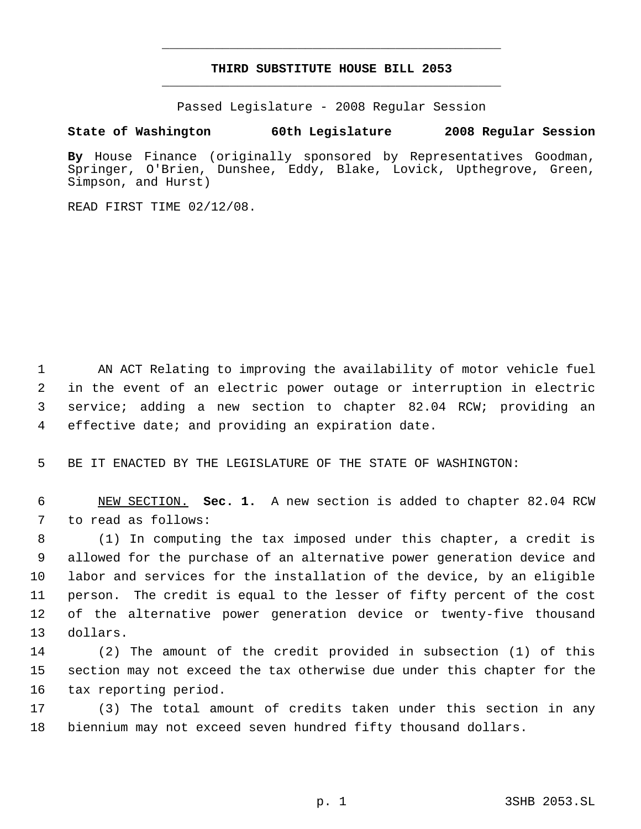# **THIRD SUBSTITUTE HOUSE BILL 2053** \_\_\_\_\_\_\_\_\_\_\_\_\_\_\_\_\_\_\_\_\_\_\_\_\_\_\_\_\_\_\_\_\_\_\_\_\_\_\_\_\_\_\_\_\_

\_\_\_\_\_\_\_\_\_\_\_\_\_\_\_\_\_\_\_\_\_\_\_\_\_\_\_\_\_\_\_\_\_\_\_\_\_\_\_\_\_\_\_\_\_

Passed Legislature - 2008 Regular Session

## **State of Washington 60th Legislature 2008 Regular Session**

**By** House Finance (originally sponsored by Representatives Goodman, Springer, O'Brien, Dunshee, Eddy, Blake, Lovick, Upthegrove, Green, Simpson, and Hurst)

READ FIRST TIME 02/12/08.

 AN ACT Relating to improving the availability of motor vehicle fuel in the event of an electric power outage or interruption in electric service; adding a new section to chapter 82.04 RCW; providing an effective date; and providing an expiration date.

BE IT ENACTED BY THE LEGISLATURE OF THE STATE OF WASHINGTON:

 NEW SECTION. **Sec. 1.** A new section is added to chapter 82.04 RCW to read as follows:

 (1) In computing the tax imposed under this chapter, a credit is allowed for the purchase of an alternative power generation device and labor and services for the installation of the device, by an eligible person. The credit is equal to the lesser of fifty percent of the cost of the alternative power generation device or twenty-five thousand dollars.

 (2) The amount of the credit provided in subsection (1) of this section may not exceed the tax otherwise due under this chapter for the tax reporting period.

 (3) The total amount of credits taken under this section in any biennium may not exceed seven hundred fifty thousand dollars.